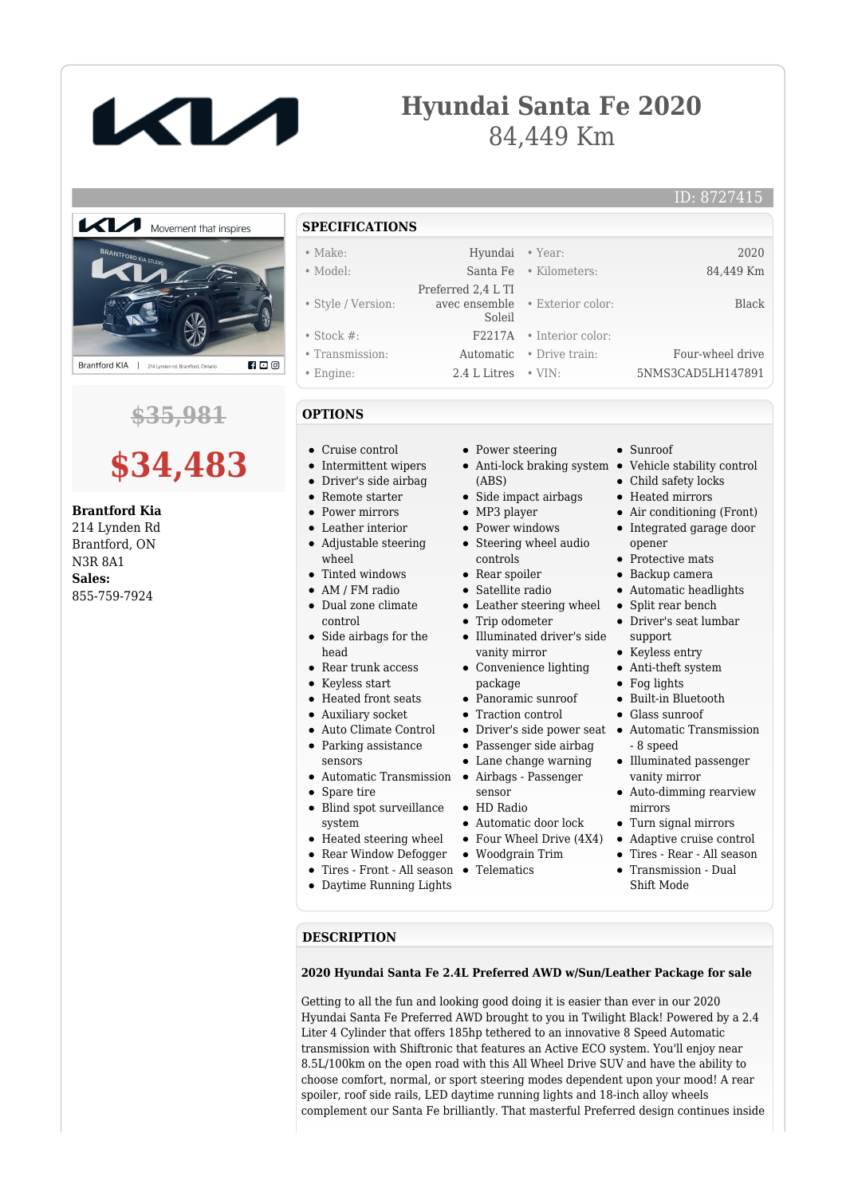

## **Hyundai Santa Fe 2020** 84,449 Km

#### ID: 8727415



### **\$35,981**

# **\$34,483**

#### **Brantford Kia**

214 Lynden Rd Brantford, ON N3R 8A1 **Sales:** 855-759-7924

**SPECIFICATIONS** • Make: Hyundai • Year: 2020 • Model: Santa Fe • Kilometers: 84,449 Km • Style / Version: Preferred 2,4 L TI avec ensemble Soleil • Exterior color: Black • Stock #: F2217A • Interior color: • Transmission: Automatic • Drive train: Four-wheel drive • Engine: 2.4 L Litres • VIN: 5NMS3CAD5LH147891

#### **OPTIONS**

- Cruise control
- Intermittent wipers
- Driver's side airbag
- Remote starter
- **Power mirrors**
- Leather interior Adjustable steering wheel
- Tinted windows
- AM / FM radio
- Dual zone climate  $\bullet$ control
- $\bullet$ Side airbags for the head
- Rear trunk access
- Keyless start
- Heated front seats
- Auxiliary socket
- Auto Climate Control
- Parking assistance
- sensors
- Automatic Transmission
- Spare tire
- Blind spot surveillance system
- $\bullet~$  Heated steering wheel
- Rear Window Defogger
- Tires Front All season Telematics
- Daytime Running Lights
- Power steering
- Anti-lock braking system Vehicle stability control (ABS)
- Side impact airbags
- MP3 player
- Power windows • Steering wheel audio
- controls • Rear spoiler
- Satellite radio
- Leather steering wheel
- Trip odometer
- Illuminated driver's side vanity mirror
- Convenience lighting package
- Panoramic sunroof
- Traction control
- 
- Passenger side airbag
- Lane change warning
- Airbags Passenger
- sensor HD Radio
- 
- Automatic door lock
- Four Wheel Drive (4X4)
- Woodgrain Trim
- 
- Sunroof
- Child safety locks
- Heated mirrors
- Air conditioning (Front)
- Integrated garage door opener
- Protective mats
- Backup camera
- Automatic headlights
- Split rear bench  $\bullet$
- Driver's seat lumbar support
- Keyless entry
- Anti-theft system
- Fog lights  $\bullet$
- Built-in Bluetooth
- Glass sunroof
- Driver's side power seat Automatic Transmission - 8 speed
	- Illuminated passenger vanity mirror
	- Auto-dimming rearview mirrors
	- Turn signal mirrors
	- Adaptive cruise control
	- Tires Rear All season
	- Transmission Dual Shift Mode

#### **DESCRIPTION**

#### **2020 Hyundai Santa Fe 2.4L Preferred AWD w/Sun/Leather Package for sale**

Getting to all the fun and looking good doing it is easier than ever in our 2020 Hyundai Santa Fe Preferred AWD brought to you in Twilight Black! Powered by a 2.4 Liter 4 Cylinder that offers 185hp tethered to an innovative 8 Speed Automatic transmission with Shiftronic that features an Active ECO system. You'll enjoy near 8.5L/100km on the open road with this All Wheel Drive SUV and have the ability to choose comfort, normal, or sport steering modes dependent upon your mood! A rear spoiler, roof side rails, LED daytime running lights and 18-inch alloy wheels complement our Santa Fe brilliantly. That masterful Preferred design continues inside